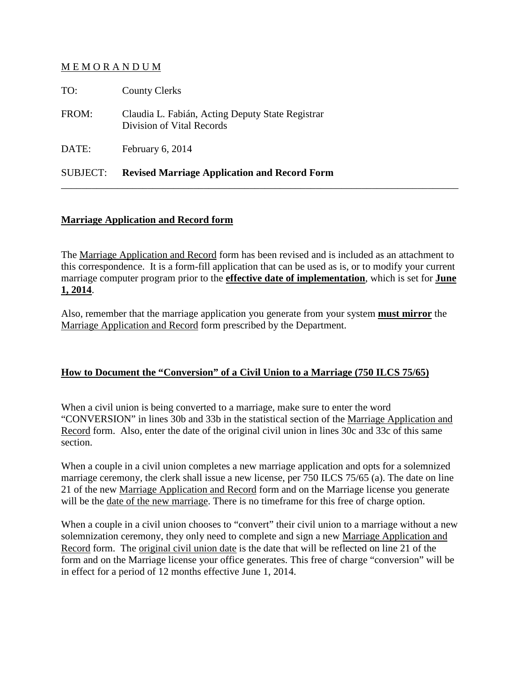## M E M O R A N D U M

| TO:             | <b>County Clerks</b>                                                          |
|-----------------|-------------------------------------------------------------------------------|
| FROM:           | Claudia L. Fabián, Acting Deputy State Registrar<br>Division of Vital Records |
| DATE:           | February 6, 2014                                                              |
| <b>SUBJECT:</b> | <b>Revised Marriage Application and Record Form</b>                           |

# **Marriage Application and Record form**

The Marriage Application and Record form has been revised and is included as an attachment to this correspondence. It is a form-fill application that can be used as is, or to modify your current marriage computer program prior to the **effective date of implementation**, which is set for **June 1, 2014**.

\_\_\_\_\_\_\_\_\_\_\_\_\_\_\_\_\_\_\_\_\_\_\_\_\_\_\_\_\_\_\_\_\_\_\_\_\_\_\_\_\_\_\_\_\_\_\_\_\_\_\_\_\_\_\_\_\_\_\_\_\_\_\_\_\_\_\_\_\_\_\_\_\_\_\_\_\_\_

Also, remember that the marriage application you generate from your system **must mirror** the Marriage Application and Record form prescribed by the Department.

## **How to Document the "Conversion" of a Civil Union to a Marriage (750 ILCS 75/65)**

When a civil union is being converted to a marriage, make sure to enter the word "CONVERSION" in lines 30b and 33b in the statistical section of the Marriage Application and Record form. Also, enter the date of the original civil union in lines 30c and 33c of this same section.

When a couple in a civil union completes a new marriage application and opts for a solemnized marriage ceremony, the clerk shall issue a new license, per 750 ILCS 75/65 (a). The date on line 21 of the new Marriage Application and Record form and on the Marriage license you generate will be the date of the new marriage. There is no timeframe for this free of charge option.

When a couple in a civil union chooses to "convert" their civil union to a marriage without a new solemnization ceremony, they only need to complete and sign a new Marriage Application and Record form. The original civil union date is the date that will be reflected on line 21 of the form and on the Marriage license your office generates. This free of charge "conversion" will be in effect for a period of 12 months effective June 1, 2014.